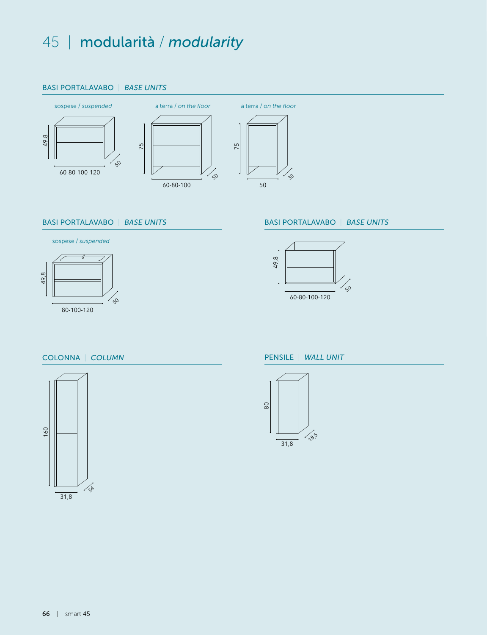## 45 | modularità / *modularity*

#### **BASI POPTALAY** *BASE UNITS FOR TABLETOP WASHBASIN* RASI PORTALAVA *BASE UNITS FOR TABLETOP WASHBASIN* BASI PORTALAVA *BASE UNITS FOR TABLETOP WASHBASIN* BASI PORTALAVABO | BASE UNITS



# entity<br>112,355 BASI PORTALAVABO | BASE UNITS | BASI PORTALAVABO | BASE UNITS |<br>12,355 BASI PORTALAVABO | BASE UNITS | BASI PORTALAVABO | BASE UNITS | BASE UNITS | BASE UNITS | BASE UNITS |

50





#### **BASI PORTALAVABO | BASE UNITS**



50

## COLONNA | COLUMN PENSILE | WALL UNIT